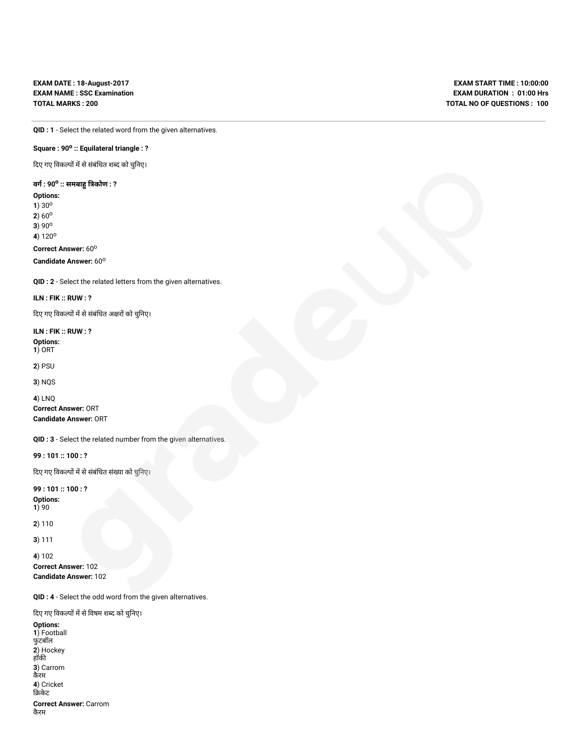**EXAM DATE : 18-August-2017 EXAM NAME : SSC Examination TOTAL MARKS : 200**

**EXAM START TIME : 10:00:00 EXAM DURATION : 01:00 Hrs TOTAL NO OF QUESTIONS : 100**

**QID : 1** - Select the related word from the given alternatives.

## **Square : 90<sup>o</sup> :: Equilateral triangle : ?**

दिए गए विकल्पों में से संबंधित शब्द को चुनिए।

## **वग : 90<sup>o</sup> :: समबा कोण : ?**

**Options: 1**) 30<sup>o</sup> **2**)  $60^{\circ}$ 

**3**) 90<sup>o</sup> **4**) 120<sup>o</sup>

**Correct Answer: 60°** 

**Candidate Answer: 60°** 

**QID : 2** - Select the related letters from the given alternatives.

## **ILN : FIK :: RUW : ?**

दिए गए विकल्पों में से संबंधित अक्षरों को चुनिए।

**ILN : FIK :: RUW : ?**

**Options: 1**) ORT

**2**) PSU

**3**) NQS

**4**) LNQ **Correct Answer:** ORT **Candidate Answer:** ORT

**QID : 3** - Select the related number from the given alternatives.

**99 : 101 :: 100 : ?**

दिए गए विकल्पों में से संबंधित संख्या को चुनिए।

**99 : 101 :: 100 : ? Options: 1**) 90

**2**) 110

**3**) 111

**4**) 102 **Correct Answer:** 102 **Candidate Answer:** 102

**QID : 4** - Select the odd word from the given alternatives.

दिए गए विकल्पों में से विषम शब्द को चुनिए।

**Options: 1**) Football फुटबॉल **2**) Hockey हॉक **3**) Carrom कैरम **4**) Cricket केट

**Correct Answer:** Carrom कैरम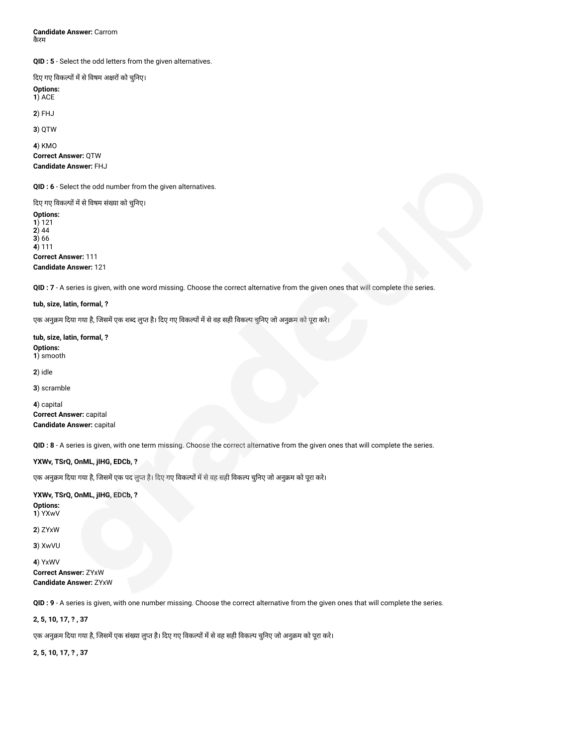**Candidate Answer:** Carrom कैरम

**QID : 5** - Select the odd letters from the given alternatives.

दिए गए विकल्पों में से विषम अक्षरों को चुनिए।

**Options: 1**) ACE

**2**) FHJ

**3**) QTW

**4**) KMO **Correct Answer:** QTW

**Candidate Answer:** FHJ

**QID : 6** - Select the odd number from the given alternatives.

दिए गए विकल्पों में से विषम संख्या को चुनिए। **Options:**

**1**) 121 **2**) 44 **3**) 66 **4**) 111 **Correct Answer:** 111

**Candidate Answer:** 121

**QID : 7** - A series is given, with one word missing. Choose the correct alternative from the given ones that will complete the series.

**tub, size, latin, formal, ?**

एक अनुक्रम दिया गया है, जिसमें एक शब्द लुप्त है। दिए गए विकल्पों में से वह सही विकल्प चुनिए जो अनुक्रम को पूरा करे।

**tub, size, latin, formal, ? Options: 1**) smooth

**2**) idle

**3**) scramble

**4**) capital **Correct Answer:** capital **Candidate Answer:** capital

**QID : 8** - A series is given, with one term missing. Choose the correct alternative from the given ones that will complete the series.

**YXWv, TSrQ, OnML, jIHG, EDCb, ?**

एक अनुक्रम दिया गया है, जिसमें एक पद लुप्त है। दिए गए विकल्पों में से वह सही विकल्प चुनिए जो अनुक्रम को पूरा करे।

**YXWv, TSrQ, OnML, jIHG, EDCb, ?**

**Options: 1**) YXwV

**2**) ZYxW

**3**) XwVU

**4**) YxWV

**Correct Answer:** ZYxW **Candidate Answer:** ZYxW

**QID : 9** - A series is given, with one number missing. Choose the correct alternative from the given ones that will complete the series.

**2, 5, 10, 17, ? , 37**

एक अनुक्रम दिया गया है, जिसमें एक संख्या लुप्त है। दिए गए विकल्पों में से वह सही विकल्प चुनिए जो अनुक्रम को पूरा करे।

**2, 5, 10, 17, ? , 37**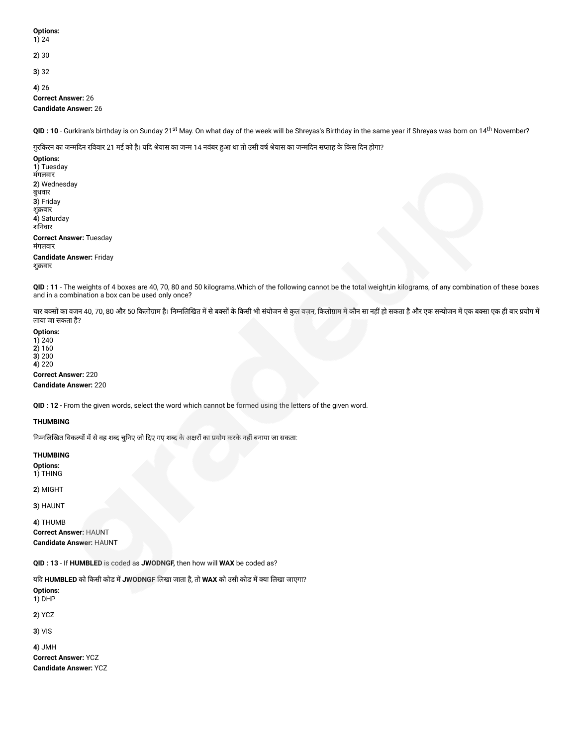**1**) 24

**2**) 30

**3**) 32

**4**) 26

**Correct Answer:** 26 **Candidate Answer:** 26

**QID : 10** - Gurkiran's birthday is on Sunday 21<sup>st</sup> May. On what day of the week will be Shreyas's Birthday in the same year if Shreyas was born on 14<sup>th</sup> November?

गुरकिरन का जन्मदिन रविवार 21 मई को है। यदि श्रेयास का जन्म 14 नवंबर हुआ था तो उसी वर्ष श्रेयास का जन्मदिन सप्ताह के किस दिन होगा?

**Options: 1**) Tuesday मंगलवार **2**) Wednesday बुधवार **3**) Friday शुक्रवार **4**) Saturday शनवार

**Correct Answer:** Tuesday मंगलवार

**Candidate Answer:** Friday शुवार

**QID : 11** - The weights of 4 boxes are 40, 70, 80 and 50 kilograms.Which of the following cannot be the total weight,in kilograms, of any combination of these boxes and in a combination a box can be used only once?

चार बक्सों का वजन 40, 70, 80 और 50 किलोग्राम है। निम्नलिखित में से बक्सी के किसी भी संयोजन से कुल वज़न, किलोग्राम में कोन सा नहीं हो सकता है और एक सन्योजन में एक बक्सा एक ही बार प्रयोग में लाया जा सकता है?

**Options: 1**) 240

**2**) 160 **3**) 200

**4**) 220 **Correct Answer:** 220

**Candidate Answer:** 220

**QID : 12** - From the given words, select the word which cannot be formed using the letters of the given word.

## **THUMBING**

निम्नलिखित विकल्पों में से वह शब्द चुनिए जो दिए गए शब्द के अक्षरों का प्रयोग करके नहीं बनाया जा सकता:

**THUMBING Options:**

**1**) THING

**2**) MIGHT

**3**) HAUNT

**4**) THUMB **Correct Answer:** HAUNT **Candidate Answer:** HAUNT

**QID : 13** - If **HUMBLED** is coded as **JWODNGF,** then how will **WAX** be coded as?

यद **HUMBLED** को कसी कोड म**JWODNGF** लखा जाता है, तो **WAX** को उसी कोड मया लखा जाएगा?

**Options: 1**) DHP

**2**) YCZ

**3**) VIS

**4**) JMH

**Correct Answer:** YCZ **Candidate Answer:** YCZ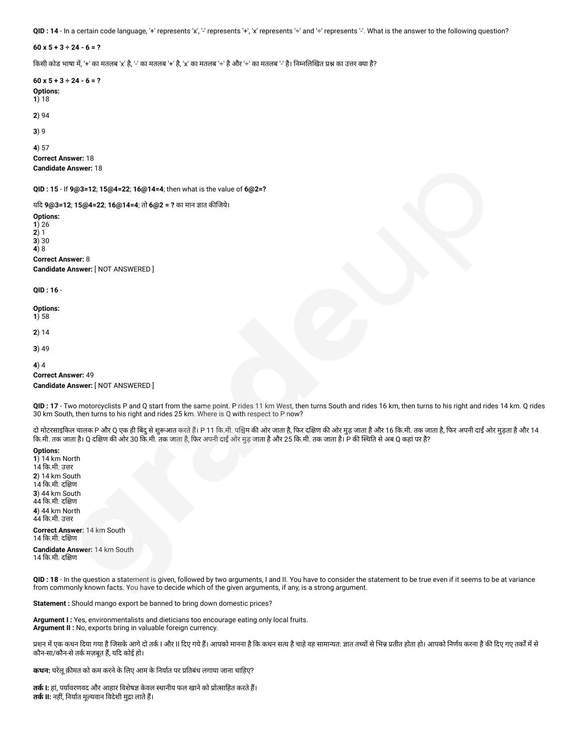QID : 14 - In a certain code language, '+' represents 'x', '-' represents '+', 'x' represents '÷' and '÷' represents '-'. What is the answer to the following question?

**60 x 5 + 3 ÷ 24 - 6 = ?**

किसी कोड भाषा में, '+' का मतलब 'x' है, '-' का मतलब '+' है, 'x' का मतलब '÷' है और '÷' का मतलब '-' है। निम्नलिखित प्रश्न का उत्तर क्या है?

**60 x 5 + 3 ÷ 24 - 6 = ? Options: 1**) 18 **2**) 94 **3**) 9 **4**) 57

**Correct Answer:** 18 **Candidate Answer:** 18

**QID : 15** - If **9@3=12**; **15@4=22**; **16@14=4**; then what is the value of **6@2=?**

यदि 9@3=12; 15@4=22; 16@14=4; तो 6@2 = ? का मान ज्ञात कीजिये।

**Options: 1**) 26 **2**) 1 **3**) 30 **4**) 8 **Correct Answer:** 8

**Candidate Answer:** [ NOT ANSWERED ]

**QID : 16** -

**Options: 1**) 58

**2**) 14

**3**) 49

**4**) 4

**Correct Answer:** 49

**Candidate Answer:** [ NOT ANSWERED ]

**QID : 17** - Two motorcyclists P and Q start from the same point. P rides 11 km West, then turns South and rides 16 km, then turns to his right and rides 14 km. Q rides 30 km South, then turns to his right and rides 25 km. Where is Q with respect to P now?

दो मोटरसाइकिल चालक P और Q एक ही बिंदु से शुरूआत करते हैं। P 11 कि.मी. पश्चिम की ओर जाता है, फिर आती है, और आप क कि.मी. तक जाता है। Q दक्षिण की ओर 30 कि.मी. तक जाता है, फिर अपनी दाईं ओर मुड़ जाता है और 25 कि.मी. तक जाता है। P की स्थिति से अब Q कहां पर है?

**Options: 1**) 14 km North 14 क.मी. उर **2**) 14 km South 14 कि.मी. दक्षिण **3**) 44 km South 44 कि.मी. दक्षिण **4**) 44 km North 44 कि.मी. उत्तर

**Correct Answer:** 14 km South 14 कि.मी. दक्षिण

**Candidate Answer:** 14 km South 14 क.मी. दण

**QID : 18** - In the question a statement is given, followed by two arguments, I and II. You have to consider the statement to be true even if it seems to be at variance from commonly known facts. You have to decide which of the given arguments, if any, is a strong argument.

**Statement :** Should mango export be banned to bring down domestic prices?

**Argument I :** Yes, environmentalists and dieticians too encourage eating only local fruits. **Argument II :** No, exports bring in valuable foreign currency.

प्रशन में एक कथन दिया गया है जिसके आगे दो तर्क I और II दिए गये हैं। आपको मानना है कि कथन सत्य है सामान्यत: ज्ञात तथा सेभिन्न प्रतीत होता हो। आपको निर्णय करना है की दिए गए तर्कों में से कौन-सा/कौन-से तर्क मज़बूत हैं, यदि कोई हो।

**कथन:** घरेलूक़मत को कम करनेकेलए आम केनयात पर तबंध लगाया जाना चाहए?

**तर्क l:** हां, पर्यावरणवद और आहार विशेषज्ञ केवल स्थानीय फल खाने को प्रोत्साहित करते हैं। **तर्क II:** नहीं, निर्यात मुल्यवान विदेशी मुद्रा लाते हैं।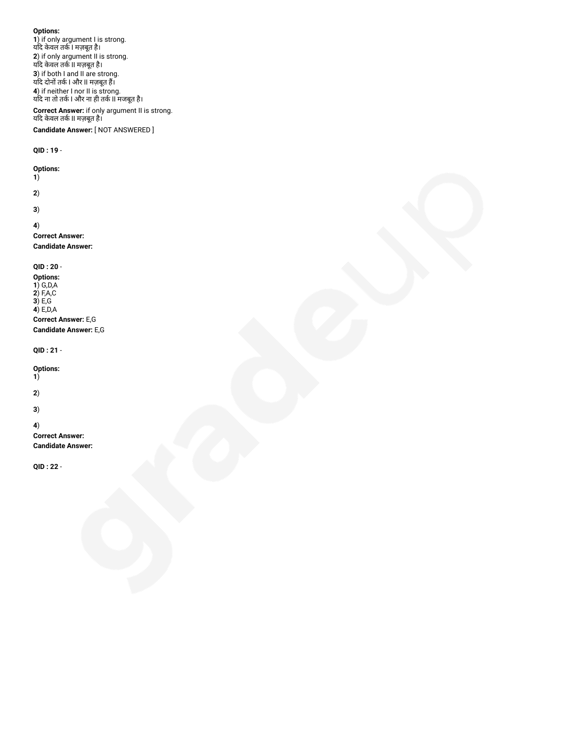**Options: 1**) if only argument I is strong. यद केवल तक I मज़बूत है। **2**) if only argument II is strong. यद केवल तक II मज़बूत है। **3**) if both I and II are strong. च्यदि दोनों तर्क I और II मज़बूत हैं। **4**) if neither I nor II is strong. यद ना तो तक I और ना ही तक II मजबूत है। **Correct Answer:** if only argument II is strong. यद केवल तक II मज़बूत है। **Candidate Answer:** [ NOT ANSWERED ] **QID : 19** - **Options: 1**) **2**) **3**) **4**) **Correct Answer: Candidate Answer: QID : 20** - **Options: 1**) G,D,A **2**) F,A,C **3**) E,G **4**) E,D,A **Correct Answer:** E,G **Candidate Answer:** E,G **QID : 21** - **Options: 1**)

**2**)

**3**)

**4**)

**Correct Answer: Candidate Answer:**

**QID : 22** -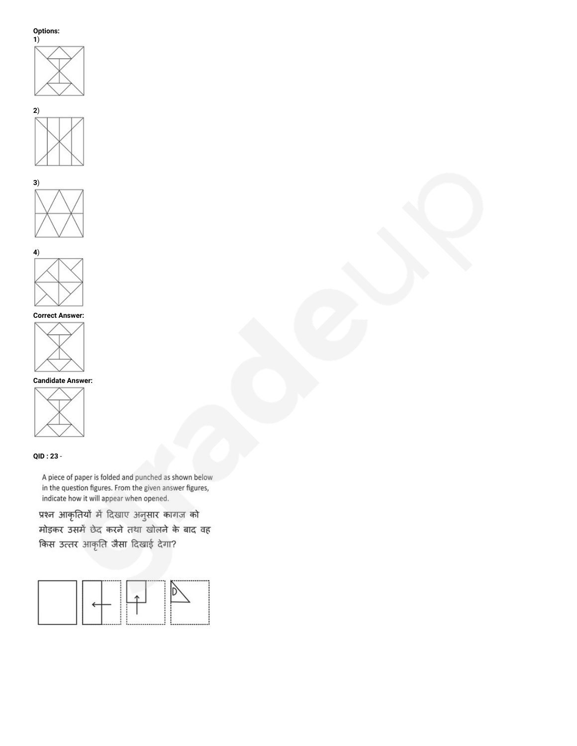







# **Correct Answer:**



# **Candidate Answer:**



# **QID : 23** -

A piece of paper is folded and punched as shown below in the question figures. From the given answer figures, indicate how it will appear when opened.

प्रश्न आकृतियों में दिखाए अनुसार कागज को मोड़कर उसमें छेद करने तथा खोलने के बाद वह किस उत्तर आकृति जैसा दिखाई देगा?

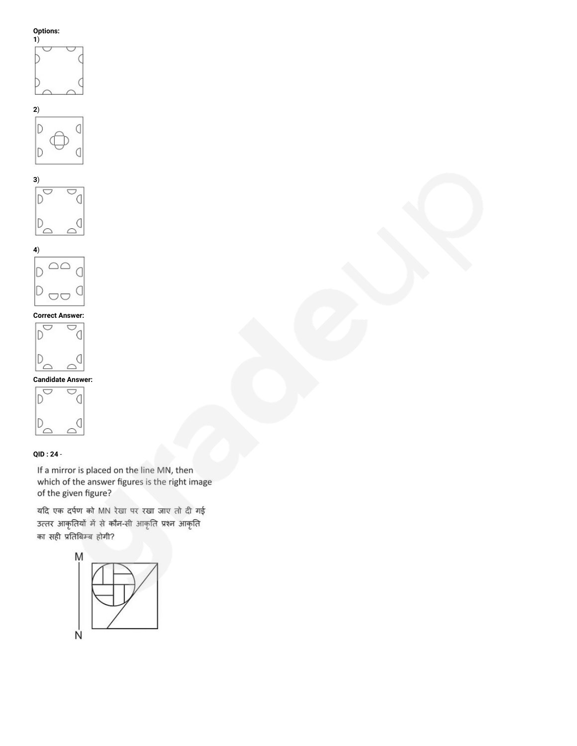











# **QID : 24** -

If a mirror is placed on the line MN, then which of the answer figures is the right image of the given figure?

यदि एक दर्पण को MN रेखा पर रखा जाए तो दी गई उत्तर आकृतियों में से कौन-सी आकृति प्रश्न आकृति का सही प्रतिबिम्ब होगी?

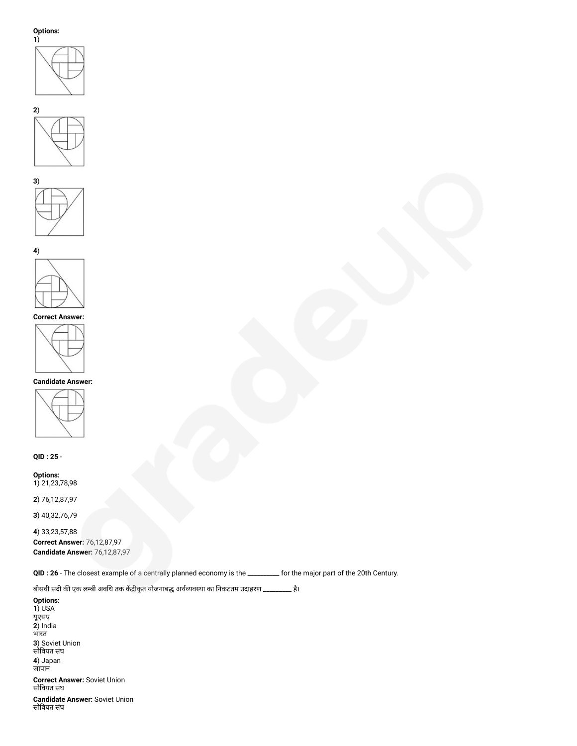







## **Correct Answer:**



# **Candidate Answer:**



**QID : 25** -

**Options: 1**) 21,23,78,98

**2**) 76,12,87,97

**3**) 40,32,76,79

**4**) 33,23,57,88 **Correct Answer:** 76,12,87,97 **Candidate Answer:** 76,12,87,97

**QID : 26** - The closest example of a centrally planned economy is the \_\_\_\_\_\_\_\_\_\_ for the major part of the 20th Century.

बीसवी सदी की एक लम्बी अवधि तक केंद्रीकृत योजनाबद्ध अर्थव्यवस्था का निकटतम उदाहरण \_\_\_\_\_\_\_\_\_ है।

**Options: 1**) USA यूएसए **2**) India भारत **3**) Soviet Union सोवयत संघ **4**) Japan जापान **Correct Answer:** Soviet Union सोवयत संघ

**Candidate Answer:** Soviet Union सोवयत संघ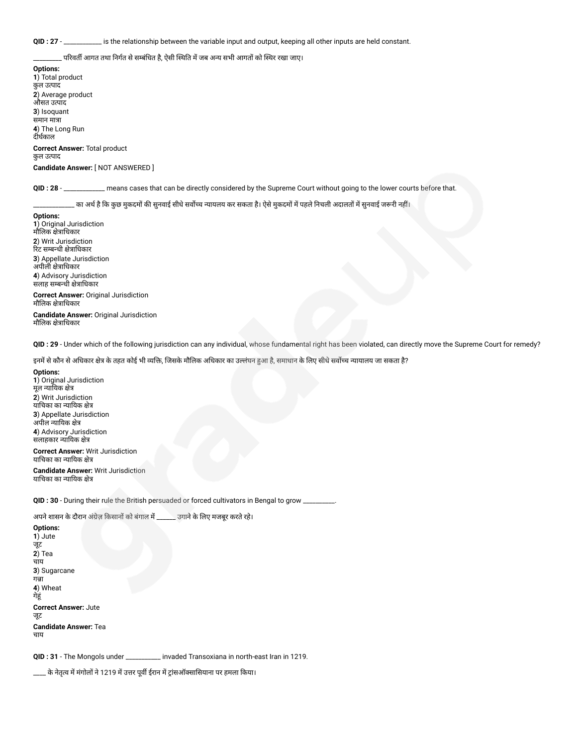**QID : 27** - \_\_\_\_\_\_\_\_\_\_\_\_ is the relationship between the variable input and output, keeping all other inputs are held constant.

<sub>-</sub> परिवर्ती आगत तथा निर्गत से सम्बंधित है, ऐसी स्थिति में जब अन्य सभी आगतों को स्थिर रखा जाए।

**Options: 1**) Total product कुल उपाद **2**) Average product औसत उपाद **3**) Isoquant समान मात्रा **4**) The Long Run दीर्घकाल **Correct Answer:** Total product

कुल उपाद

**Candidate Answer:** [ NOT ANSWERED ]

**QID : 28** - \_\_\_\_\_\_\_\_\_\_\_\_\_ means cases that can be directly considered by the Supreme Court without going to the lower courts before that.

्का अर्थ है कि कुछ मुकदमों की सुनवाई सीधे सर्वोच्च न्यायलय कर सकता है। ऐसे मुकदमों में पहले निचली अदालतों में सुनवाई जरूरी नहीं।

**Options: 1**) Original Jurisdiction मौलिक क्षेत्राधिकार **2**) Writ Jurisdiction रिट सम्बन्धी क्षेत्राधिकार **3**) Appellate Jurisdiction अपीली क्षेत्राधिकार **4**) Advisory Jurisdiction सलाह सम्बन्धी क्षेत्राधिकार **Correct Answer:** Original Jurisdiction

मौलिक क्षेत्राधिकार **Candidate Answer:** Original Jurisdiction मौलिक क्षेत्राधिकार

**QID : 29** - Under which of the following jurisdiction can any individual, whose fundamental right has been violated, can directly move the Supreme Court for remedy?

इनमें से कौन से अधिकार क्षेत्र के तहत कोई भी व्यक्ति, जिसके मौलिक अधिकार का उल्लंघन हुआ है, समाधान के लिए सीधे सर्वोच्च न्यायालय जा सकता है?

**Options: 1**) Original Jurisdiction मूल न्यायिक क्षेत्र **2**) Writ Jurisdiction याचिका का न्यायिक क्षेत्र **3**) Appellate Jurisdiction अपील न्यायिक क्षेत्र **4**) Advisory Jurisdiction सलाहकार न्यायिक क्षेत्र

**Correct Answer:** Writ Jurisdiction याचिका का न्यायिक क्षेत्र **Candidate Answer:** Writ Jurisdiction

याचिका का न्यायिक क्षेत्र

QID : 30 - During their rule the British persuaded or forced cultivators in Bengal to grow

अपने शासन के दौरान अंग्रेज़ किसानों को बंगाल में \_\_\_\_\_\_ उगाने के लिए मजबूर करते रहे।

**Options: 1**) Jute जूट **2**) Tea चाय **3**) Sugarcane गन्ना **4**) Wheat गेहूं **Correct Answer:** Jute जूट **Candidate Answer:** Tea चाय

**QID : 31** - The Mongols under \_\_\_\_\_\_\_\_\_\_\_ invaded Transoxiana in north-east Iran in 1219.

\_\_\_\_ के नेतृत्व में मंगोलों ने 1219 में उत्तर पूर्वी ईरान में ट्रांसऑक्सासियाना पर हमला किया।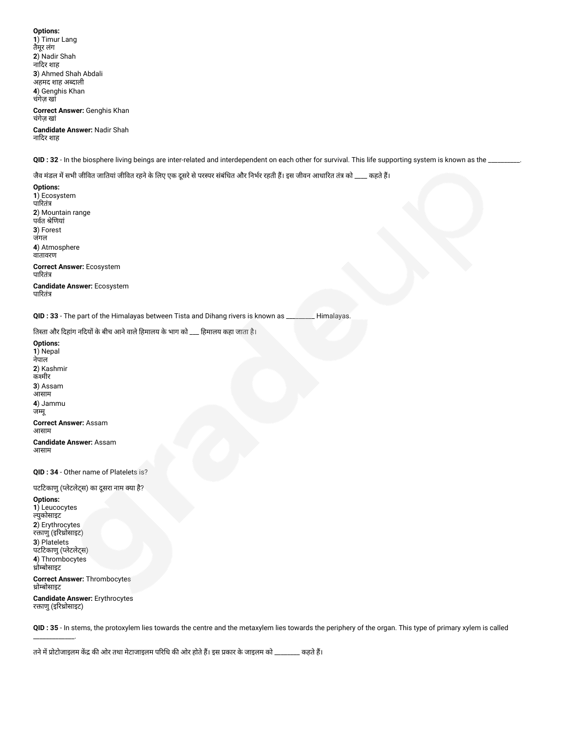**Options: 1**) Timur Lang तैमूर लंग **2**) Nadir Shah नादर शाह **3**) Ahmed Shah Abdali अहमद शाह अदाली **4**) Genghis Khan चंगेज़ खां **Correct Answer:** Genghis Khan चंगेज़ खां **Candidate Answer:** Nadir Shah नादर शाह

**QID : 32** - In the biosphere living beings are inter-related and interdependent on each other for survival. This life supporting system is known as the \_\_\_\_\_\_\_\_\_\_.

जैव मंडल में सभी जीवित जातियां जीवित रहने के लिए एक दूसरे से परस्पर संबंधित और निर्भर रहती हैं। इस जीवन आधारित तंत्र को \_\_\_\_ कहते हैं।

**Options: 1**) Ecosystem पारितंत्र **2**) Mountain range पर्वत श्रेणियां **3**) Forest जंगल **4**) Atmosphere वातावरण **Correct Answer:** Ecosystem पारितंत्र **Candidate Answer:** Ecosystem पारितंत्र

**QID : 33** - The part of the Himalayas between Tista and Dihang rivers is known as \_\_\_\_\_\_\_\_\_ Himalayas.

तिस्ता और दिहांग नदियों के बीच आने वाले हिमालय के भाग को \_\_\_ हिमालय कहा जाता है।

**Options: 1**) Nepal नेपाल **2**) Kashmir कश्मीर **3**) Assam आसाम **4**) Jammu जमू **Correct Answer:** Assam आसाम **Candidate Answer:** Assam आसाम

**QID : 34** - Other name of Platelets is?

पटटिकाणु (प्लेटलेट्स) का दूसरा नाम क्या है?

**Options: 1**) Leucocytes युकोसाइट **2**) Erythrocytes रक्ताणु (इरिथ्रोसाइट) **3**) Platelets पटटकाणु (लेटलेट्स) **4**) Thrombocytes ोबोसाइट

\_\_\_\_\_\_\_\_\_\_\_\_\_.

**Correct Answer:** Thrombocytes ोबोसाइट

**Candidate Answer:** Erythrocytes रक्ताणु (इरिथ्रोसाइट)

**QID : 35** - In stems, the protoxylem lies towards the centre and the metaxylem lies towards the periphery of the organ. This type of primary xylem is called

तने में प्रोटोजाइलम केंद्र की ओर तथा मेटाजाइलम परिधि की ओर होते हैं। इस प्रकार के जाइलम को \_\_\_\_\_\_\_\_ कहते हैं।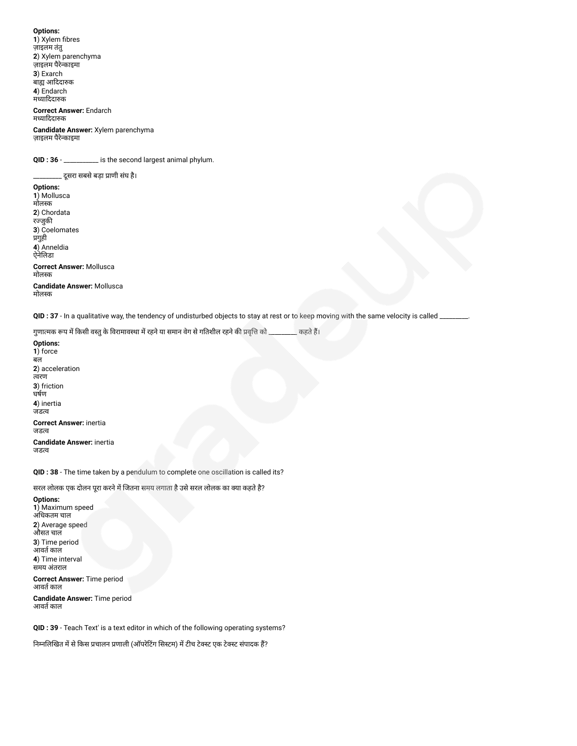**Options: 1**) Xylem fibres ज़ाइलम तंतु **2**) Xylem parenchyma ज़ाइलम पैरेकाइमा **3**) Exarch बाह्य आदिदारुक **4**) Endarch मध्यादिदारुक

**Correct Answer:** Endarch मयाददाक

**Candidate Answer:** Xylem parenchyma ज़ाइलम पैरेकाइमा

QID : 36 - \_\_\_\_\_\_\_\_\_\_\_ is the second largest animal phylum.

\_\_\_\_\_\_\_\_\_ सरा सबसेबड़ा ाणी संघ है। **Options: 1**) Mollusca मोलक **2**) Chordata रज्जुकी **3**) Coelomates प्रगुही **4**) Anneldia ऐनेलडा **Correct Answer:** Mollusca मोलक **Candidate Answer:** Mollusca मोलक

**QID : 37** - In a qualitative way, the tendency of undisturbed objects to stay at rest or to keep moving with the same velocity is called \_\_\_\_\_\_\_\_\_.

गुणात्मक रूप में किसी वस्तु के विरामावस्था में रहने या समान वेग से गतिशील रहने की प्रवृत्ति को \_\_\_\_\_\_\_\_\_ कहते हैं।

**Options: 1**) force बल **2**) acceleration वरण **3**) friction घषण **4**) inertia जडव **Correct Answer:** inertia जडव **Candidate Answer:** inertia जडव

**QID : 38** - The time taken by a pendulum to complete one oscillation is called its?

सरल लोलक एक दोलन पूरा करने में जितना समय लगाता है उसे सरल लोलक का क्या कहते है?

**Options: 1**) Maximum speed अधकतम चाल **2**) Average speed औसत चाल **3**) Time period आवर्त काल **4**) Time interval समय अंतराल

**Correct Answer:** Time period आवर्त काल

**Candidate Answer:** Time period आवर्त काल

**QID : 39** - Teach Text' is a text editor in which of the following operating systems?

निम्नलिखित में से किस प्रचालन प्रणाली (ऑपरेटिंग सिस्टम) में टीच टेक्स्ट एक टेक्स्ट संपादक हैं?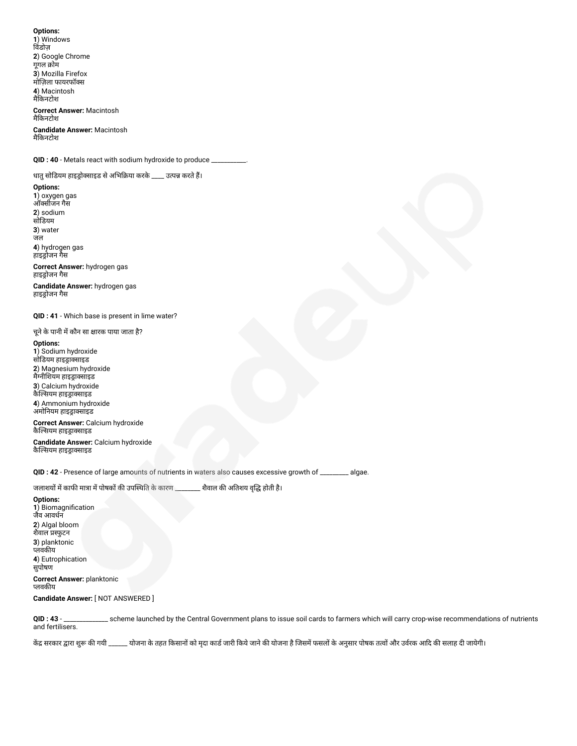**Options: 1**) Windows विंडोज़ **2**) Google Chrome गुगल क्रोम **3**) Mozilla Firefox मोज़ला फायरफॉस **4**) Macintosh मैकनटोश **Correct Answer:** Macintosh

मैकनटोश **Candidate Answer:** Macintosh

मैकनटोश

**QID : 40** - Metals react with sodium hydroxide to produce \_\_\_\_\_\_\_\_\_\_\_.

धातु सोडियम हाइड्रोक्साइड से अभिक्रिया करके \_\_\_\_ उत्पन्न करते हैं।

**Options: 1**) oxygen gas ऑसीजन गैस **2**) sodium सोडयम

**3**) water जल

**4**) hydrogen gas हाइड्रोजन गैस

**Correct Answer:** hydrogen gas हाइड्रोजन गैस

**Candidate Answer:** hydrogen gas हाइड्रोजन गैस

**QID : 41** - Which base is present in lime water?

चूने के पानी में कौन सा क्षारक पाया जाता है?

**Options: 1**) Sodium hydroxide सोडियम हाइड्राक्साइड **2**) Magnesium hydroxide मैग्नीशियम हाइड्राक्साइड **3**) Calcium hydroxide कैल्सियम हाइड्राक्साइड **4**) Ammonium hydroxide --, . . . . . . . .<br>अमोनियम हाइड्राक्साइड

**Correct Answer:** Calcium hydroxide कैल्सियम हाइड्राक्साइड

**Candidate Answer:** Calcium hydroxide कैल्सियम हाइड्राक्साइड

**QID : 42** - Presence of large amounts of nutrients in waters also causes excessive growth of \_\_\_\_\_\_\_\_\_ algae.

## जलाशयों में काफी मात्रा में पोषकों की उपस्थिति के कारण \_\_\_\_\_\_\_\_ शैवाल की अतिशय वृद्धि होती है।

**Options: 1**) Biomagnification जैव आवधन **2**) Algal bloom शैवाल फुटन **3**) planktonic प्लवकीय **4**) Eutrophication सुपोषण **Correct Answer:** planktonic प्लवकीय

## **Candidate Answer:** [ NOT ANSWERED ]

**QID : 43** - \_\_\_\_\_\_\_\_\_\_\_\_\_\_ scheme launched by the Central Government plans to issue soil cards to farmers which will carry crop-wise recommendations of nutrients and fertilisers.

केंद्र सरकार द्वारा शुरू की गयी \_\_\_\_\_\_ योजना के तहत किसानों को मृदा काडी जारी को योजना के विसमें फसलों के अनुसार पोषक तत्वों और उर्वरक आदि की सलाह दी जायेगी।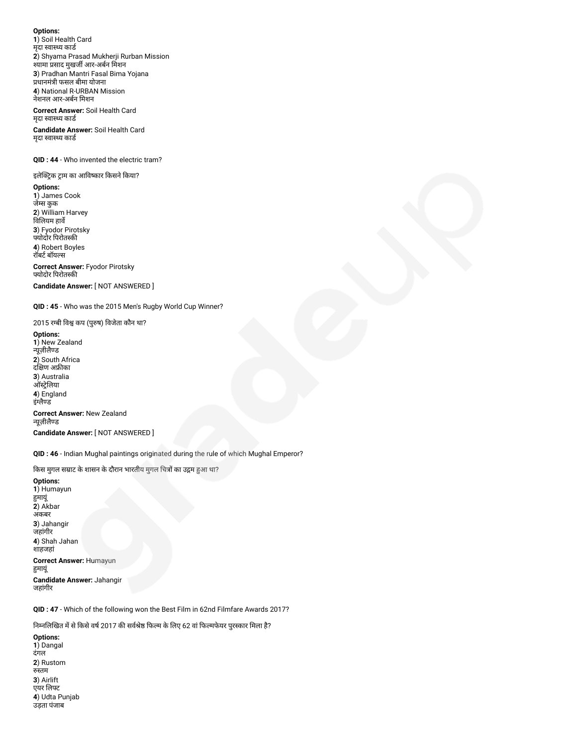**Options: 1**) Soil Health Card मुदा स्वास्थ्य कार्ड **2**) Shyama Prasad Mukherji Rurban Mission श्यामा प्रसाद मुखर्जी आर-अर्बन मिशन **3**) Pradhan Mantri Fasal Bima Yojana प्रधानमंत्री फसल बीमा योजना **4**) National R-URBAN Mission नेशनल आर-अबन मशन

**Correct Answer:** Soil Health Card मृदा स्वास्थ्य कार्ड

**Candidate Answer:** Soil Health Card मृदा स्वास्थ्य कार्ड

**QID : 44** - Who invented the electric tram?

इलेक्ट्रिक ट्राम का आविष्कार किसने किया? **Options: 1**) James Cook जेस कुक **2**) William Harvey विलियम हार्वे **3**) Fyodor Pirotsky योदोर परोतक **4**) Robert Boyles

रॉबर्ट बॉयल्स

**Correct Answer:** Fyodor Pirotsky योदोर परोतक

**Candidate Answer:** [ NOT ANSWERED ]

**QID : 45** - Who was the 2015 Men's Rugby World Cup Winner?

2015 रग्बी विश्व कप (पुरुष) विजेता कौन था?

**Options: 1**) New Zealand न्यूज़ीलैण्ड **2**) South Africa दक्षिण अफ्रीका **3**) Australia ऑस्ट्रेलिया **4**) England इंग्लैण्ड **Correct Answer:** New Zealand न्यूज़ीलैण्ड

**Candidate Answer:** [ NOT ANSWERED ]

**QID : 46** - Indian Mughal paintings originated during the rule of which Mughal Emperor?

किस मुगल सम्राट के शासन के दौरान भारतीय मुगल चित्रों का उद्गम हुआ था?

**Options: 1**) Humayun मायूं **2**) Akbar अकबर **3**) Jahangir जहांगीर **4**) Shah Jahan शाहजहां **Correct Answer:** Humayun मायूं **Candidate Answer:** Jahangir जहांगीर

**QID : 47** - Which of the following won the Best Film in 62nd Filmfare Awards 2017?

निम्नलिखित में से किसे वर्ष 2017 की सर्वश्रेष्ठ फिल्म के लिए 62 वां फिल्मफेयर पुरस्कार मिला है?

**Options: 1**) Dangal दंगल **2**) Rustom रुस्तम **3**) Airlift

एयर लिफ्ट **4**) Udta Punjab उड़ता पंजाब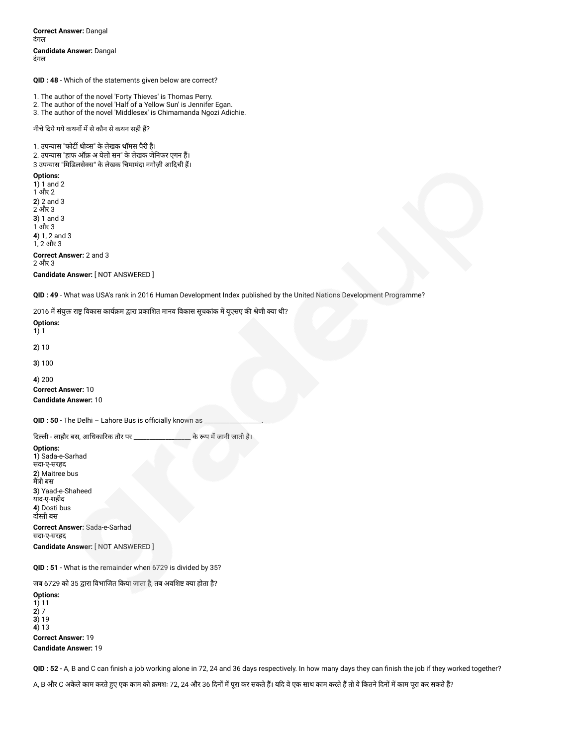**Correct Answer:** Dangal दंगल **Candidate Answer:** Dangal दंगल

**QID : 48** - Which of the statements given below are correct?

1. The author of the novel 'Forty Thieves' is Thomas Perry.

2. The author of the novel 'Half of a Yellow Sun' is Jennifer Egan.

3. The author of the novel 'Middlesex' is Chimamanda Ngozi Adichie.

नीचे दिये गये कथनों में से कौन से कथन सही हैं?

1. उपन्यास "फोर्टी थीव्स" के लेखक थॉमस पैरी है।

2. उपन्यास "हाफ ऑफ़ अ येलो सन" के लेखक जेनिफर एगन हैं।

3 उपन्यास "मिडिलसेक्स" के लेखक चिमामंदा नगोज़ी आदिची हैं।

**Options:**

**1**) 1 and 2 1 और 2 **2**) 2 and 3 2 और 3 **3**) 1 and 3 1 और 3 **4**) 1, 2 and 3 1, 2 और 3 **Correct Answer:** 2 and 3 2 और 3 **Candidate Answer:** [ NOT ANSWERED ]

**QID : 49** - What was USA's rank in 2016 Human Development Index published by the United Nations Development Programme?

2016 में संयुक्त राष्ट्र विकास कार्यक्रम द्वारा प्रकाशित मानव विकास सूचकांक में यूएसए की श्रेणी क्या थी?

**Options: 1**) 1

**2**) 10

**3**) 100

**4**) 200 **Correct Answer:** 10 **Candidate Answer:** 10

QID : 50 - The Delhi - Lahore Bus is officially known as

दली - लाहौर बस, आधकारक तौर पर \_\_\_\_\_\_\_\_\_\_\_\_\_\_\_\_\_\_ केप मजानी जाती है।

**Options: 1**) Sada-e-Sarhad सदा-ए-सरहद **2**) Maitree bus मैी बस **3**) Yaad-e-Shaheed याद-ए-शहीद **4**) Dosti bus दोती बस

**Correct Answer:** Sada-e-Sarhad सदा-ए-सरहद **Candidate Answer:** [ NOT ANSWERED ]

**QID : 51** - What is the remainder when 6729 is divided by 35?

जब 6729 को 35 द्वारा विभाजित किया जाता है, तब अवशिष्ट क्या होता है?

**Options: 1**) 11 **2**) 7 **3**) 19 **4**) 13 **Correct Answer:** 19 **Candidate Answer:** 19

**QID : 52** - A, B and C can finish a job working alone in 72, 24 and 36 days respectively. In how many days they can finish the job if they worked together?

A, B और C अकेले काम करते हुए एक काम को क्रमशः 72, 24 और 36 दिनों में पूरा कर सकते हैं। यदि वे एक साथ काम करते हैं तो वे कितने दिनों में काम पूरा कर सकते हैं?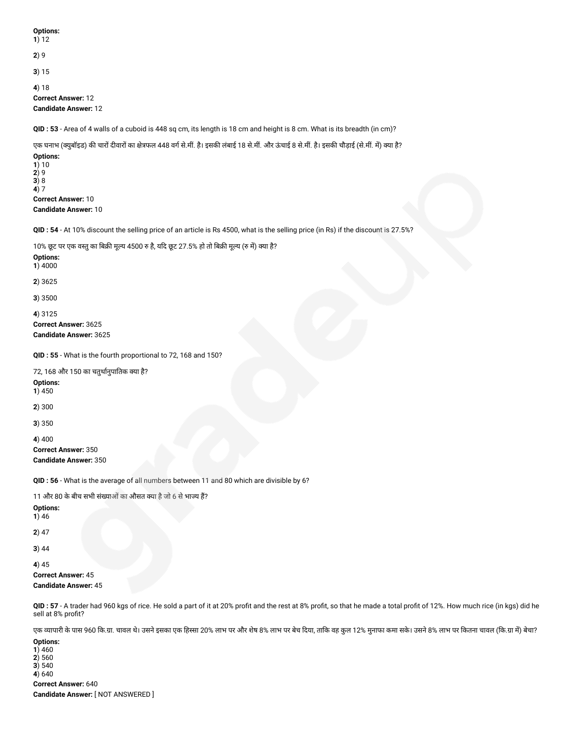**Options: 1**) 12 **2**) 9 **3**) 15 **4**) 18 **Correct Answer:** 12 **Candidate Answer:** 12 **QID : 53** - Area of 4 walls of a cuboid is 448 sq cm, its length is 18 cm and height is 8 cm. What is its breadth (in cm)? एक घनाभ (क्युबॉइड) की चारों दीवारों का क्षेत्रफल 448 वर्ग से.मीं. है। इसकी लंबाई 18 से.मीं. और ऊंचाई 8 से.मीं. है। इसकी चौड़ाई (से.मीं. में) क्या है? **Options: 1**) 10 **2**) 9 **3**) 8 **4**) 7 **Correct Answer:** 10 **Candidate Answer:** 10 **QID : 54** - At 10% discount the selling price of an article is Rs 4500, what is the selling price (in Rs) if the discount is 27.5%? 10% छूट पर एक वस्तु का बिक्री मूल्य 4500 रु है, यदि छूट 27.5% हो तो बिक्री मूल्य (रु में) क्या है? **Options: 1**) 4000 **2**) 3625 **3**) 3500 **4**) 3125 **Correct Answer:** 3625 **Candidate Answer:** 3625 **QID : 55** - What is the fourth proportional to 72, 168 and 150? 72, 168 और 150 का चतुथानुपातक या है? **Options: 1**) 450 **2**) 300 **3**) 350 **4**) 400 **Correct Answer:** 350 **Candidate Answer:** 350 **QID : 56** - What is the average of all numbers between 11 and 80 which are divisible by 6? 11 और 80 के बीच सभी संख्याओं का औसत क्या है जो 6 से भाज्य हैं? **Options: 1**) 46 **2**) 47 **3**) 44 **4**) 45 **Correct Answer:** 45 **Candidate Answer:** 45 **QID : 57** - A trader had 960 kgs of rice. He sold a part of it at 20% profit and the rest at 8% profit, so that he made a total profit of 12%. How much rice (in kgs) did he sell at 8% profit? एक व्यापारी के पास 960 कि.ग्रा. चावल थे। उसने इसका एक हिस्सा 20% लाभ पर और शेष 8% लाभ का कि उसने 8% लाभ पर कितना आवर जि.या म) लाथ पर कितना चावल (कि.ग्रा में) बेचा? **Options: 1**) 460

**4**) 640 **Correct Answer:** 640 **Candidate Answer:** [ NOT ANSWERED ]

**2**) 560 **3**) 540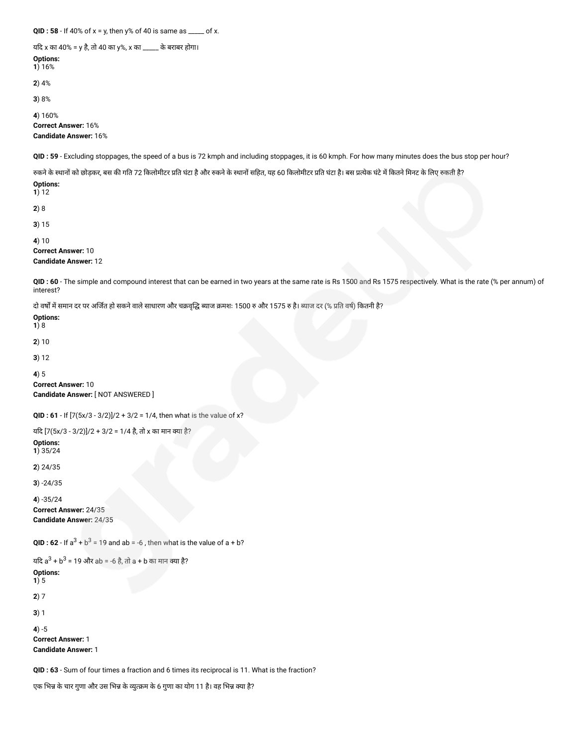**QID : 58** - If 40% of x = y, then y% of 40 is same as \_\_\_\_\_ of x.

यद x का 40% = y है, तो 40 का y%, x का \_\_\_\_\_ के बराबर होगा।

**Options: 1**) 16%

**2**) 4%

**3**) 8%

**4**) 160% **Correct Answer:** 16% **Candidate Answer:** 16%

**QID : 59** - Excluding stoppages, the speed of a bus is 72 kmph and including stoppages, it is 60 kmph. For how many minutes does the bus stop per hour?

रुकने के स्थानों को छोड़कर, बस की गति 72 किलोमीटर प्रति घंटा है और रुकने के स्थानों सहित, यह 60 किलोमीटर प्रति घंटा है। बस प्रत्येक घंटे में कितने मिनट के लिए रुकती है?

**Options: 1**) 12

**2**) 8

**3**) 15

**4**) 10

**Correct Answer:** 10

**Candidate Answer:** 12

**QID : 60** - The simple and compound interest that can be earned in two years at the same rate is Rs 1500 and Rs 1575 respectively. What is the rate (% per annum) of interest?

दो वर्षों में समान दर पर अर्जित हो सकने वाले साधारण और चक्रवृद्धि ब्याज क्रमशः 1500 रु और 1575 रु है। ब्याज दर (% प्रति वर्ष) कितनी है?

**Options: 1**) 8

**2**) 10

**3**) 12

**4**) 5

**Correct Answer:** 10 **Candidate Answer:** [ NOT ANSWERED ]

**QID : 61** - If [7(5x/3 - 3/2)]/2 + 3/2 = 1/4, then what is the value of x?

यदि [7(5x/3 - 3/2)]/2 + 3/2 = 1/4 है, तो x का मान क्या है?

**Options:**

**1**) 35/24

**2**) 24/35

**3**) -24/35

**4**) -35/24 **Correct Answer:** 24/35 **Candidate Answer:** 24/35

**QID : 62** - If  $a^3 + b^3 = 19$  and  $ab = -6$  , then what is the value of  $a + b$ ?

```
यदि a^3 + b^3 = 19 और ab = -6 है, तो a + b का मान क्या है?
Options:
1) 5
2) 7
3) 1
4) -5
Correct Answer: 1
Candidate Answer: 1
```
**QID : 63** - Sum of four times a fraction and 6 times its reciprocal is 11. What is the fraction?

एक भिन्न के चार गुणा और उस भिन्न के व्युत्क्रम के 6 गुणा का योग 11 है। वह भिन्न क्या है?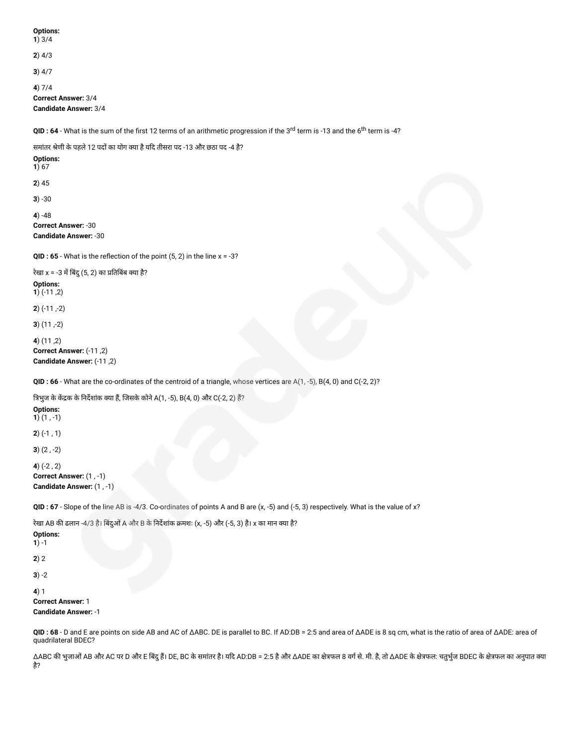**Options: 1**) 3/4 **2**) 4/3 **3**) 4/7 **4**) 7/4 **Correct Answer:** 3/4 **Candidate Answer:** 3/4 **QID : 64** - What is the sum of the first 12 terms of an arithmetic progression if the 3<sup>rd</sup> term is -13 and the 6<sup>th</sup> term is -4? समांतर श्रेणी के पहले 12 पदों का योग क्या है यदि तीसरा पद -13 और छठा पद -4 है? **Options: 1**) 67 **2**) 45 **3**) -30 **4**) -48 **Correct Answer:** -30 **Candidate Answer:** -30 **QID : 65** - What is the reflection of the point (5, 2) in the line x = -3? रेखा x = -3 में बिंदु (5, 2) का प्रतिबिंब क्या है? **Options: 1** $( -11, 2)$ **2**) (-11 ,-2) **3**) (11 ,-2) **4**) (11 ,2) **Correct Answer:** (-11 ,2) **Candidate Answer:** (-11 ,2)

**QID : 66** - What are the co-ordinates of the centroid of a triangle, whose vertices are A(1, -5), B(4, 0) and C(-2, 2)?

त्रिभुज के केंद्रक के निर्देशांक क्या हैं, जिसके कोने A(1, -5), B(4, 0) और C(-2, 2) हैं?

**Options: 1**) (1 , -1)

**2**) (-1 , 1)

**3**) (2 , -2)

**4**) (-2 , 2)

**Correct Answer:** (1 , -1) **Candidate Answer:** (1 , -1)

**QID : 67** - Slope of the line AB is -4/3. Co-ordinates of points A and B are (x, -5) and (-5, 3) respectively. What is the value of x?

रेखा AB की ढलान -4/3 है। बिंदुओं A और B के निर्देशांक क्रमशः (x, -5) और (-5, 3) है। x का मान क्या है? **Options: 1**) -1 **2**) 2 **3**) -2 **4**) 1 **Correct Answer:** 1 **Candidate Answer:** -1

**QID : 68** - D and E are points on side AB and AC of ΔABC. DE is parallel to BC. If AD:DB = 2:5 and area of ΔADE is 8 sq cm, what is the ratio of area of ΔADE: area of quadrilateral BDEC?

ΔABC की भुजाओं AB और AC पर D और E बिंदु हैं। DE, BC के समांतर है। यदि AD:DB = 2:5 है और ΔADE का क्षेत्रफल 8 वर्ग से. मी. है, तो ΔADE के क्षेत्रफल: चतुर्भुज BDEC के क्षेत्रफल का अनुपात क्या है?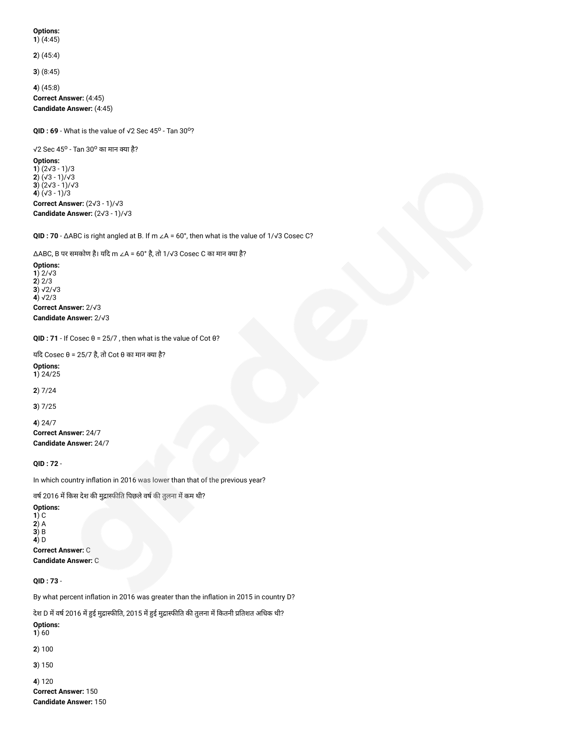#### **Options: 1**) (4:45)

**2**) (45:4)

**3**) (8:45)

**4**) (45:8)

**Correct Answer:** (4:45) **Candidate Answer:** (4:45)

 $Q$ **ID**: 69 - What is the value of  $\sqrt{2}$  Sec 45<sup>o</sup> - Tan 30<sup>o</sup>?

√2 Sec 45<sup>o</sup> - Tan 30<sup>o</sup> का मान क्या है?

**Options: 1**) (2√3 - 1)/3 **2**) (√3 - 1)/√3 **3**) (2√3 - 1)/√3 **4**) (√3 - 1)/3 **Correct Answer:** (2√3 - 1)/√3 **Candidate Answer:** (2√3 - 1)/√3

**QID : 70** - ΔABC is right angled at B. If m ∠A = 60°, then what is the value of 1/√3 Cosec C?

 $\triangle$ ABC, B पर समकोण है। यदि m ∠A = 60° है, तो 1/√3 Cosec C का मान क्या है?

**Options: 1**) 2/√3 **2**) 2/3 **3**) √2/√3 **4**) √2/3 **Correct Answer:** 2/√3 **Candidate Answer:** 2/√3

**QID : 71** - If Cosec θ = 25/7 , then what is the value of Cot θ?

यदि Cosec θ = 25/7 है, तो Cot θ का मान क्या है?

**Options: 1**) 24/25

**2**) 7/24

**3**) 7/25

**4**) 24/7 **Correct Answer:** 24/7 **Candidate Answer:** 24/7

**QID : 72** -

In which country inflation in 2016 was lower than that of the previous year?

वर्ष 2016 में किस देश की मुद्रास्फीति पिछले वर्ष की तुलना में कम थी?

**Options: 1**) C **2**) A **3**) B **4**) D **Correct Answer:** C **Candidate Answer:** C

**Candidate Answer:** 150

**QID : 73** -

By what percent inflation in 2016 was greater than the inflation in 2015 in country D?

देश D में वर्ष 2016 में हुई मुद्रास्फीति, 2015 में हुई मुद्रास्फीति की तुलना में कितनी प्रतिशत अधिक थी? **Options:**  $1) 60$ **2**) 100 **3**) 150 **4**) 120 **Correct Answer:** 150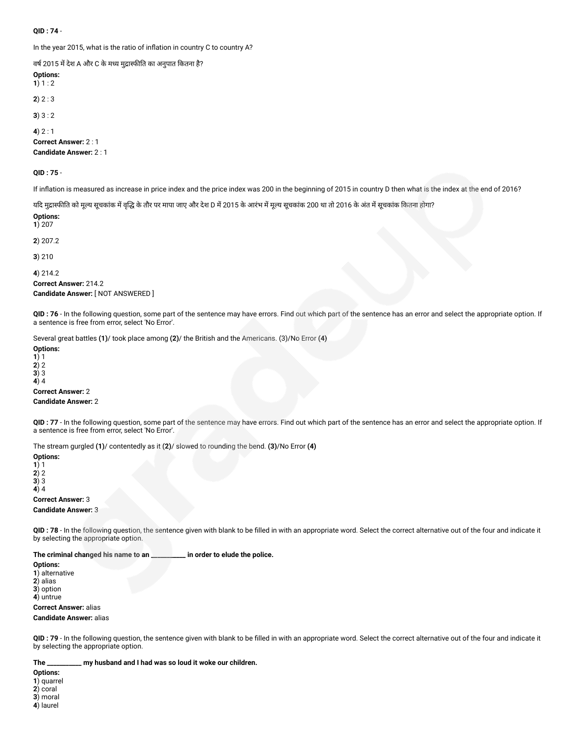## **QID : 74** -

In the year 2015, what is the ratio of inflation in country C to country A?

वर्ष 2015 में देश A और C के मध्य मुद्रास्फीति का अनुपात कितना है?

**Options: 1**)  $1:2$ **2**) 2 : 3 **3**) 3 : 2 **4**) 2 : 1 **Correct Answer:** 2 : 1

**Candidate Answer:** 2 : 1

**QID : 75** -

If inflation is measured as increase in price index and the price index was 200 in the beginning of 2015 in country D then what is the index at the end of 2016?

यदि मुद्रास्फीति को मूल्य सूचकांक में वृद्धि के तौर पर मापा जाए और देश D में 2015 के आरंभ में मूचचांक 200 था तो 2016 के अंत में सूचकांक कितना होगा?

**Options: 1**) 207

**2**) 207.2

**3**) 210

**4**) 214.2 **Correct Answer:** 214.2

**Candidate Answer:** [ NOT ANSWERED ]

**QID : 76** - In the following question, some part of the sentence may have errors. Find out which part of the sentence has an error and select the appropriate option. If a sentence is free from error, select 'No Error'.

Several great battles **(1)**/ took place among **(2)**/ the British and the Americans. (3)/No Error **(4)**

**Options:**

**1**) 1 **2**) 2

**3**) 3

**4**) 4

**Correct Answer:** 2 **Candidate Answer:** 2

**QID : 77** - In the following question, some part of the sentence may have errors. Find out which part of the sentence has an error and select the appropriate option. If a sentence is free from error, select 'No Error'.

The stream gurgled **(1)**/ contentedly as it **(2)**/ slowed to rounding the bend. **(3)**/No Error **(4)**

**Options:**

**1**) 1 **2**) 2

**3**) 3

**4**) 4

## **Correct Answer:** 3 **Candidate Answer:** 3

**QID : 78** - In the following question, the sentence given with blank to be filled in with an appropriate word. Select the correct alternative out of the four and indicate it by selecting the appropriate option.

**The criminal changed his name to an \_\_\_\_\_\_\_\_\_\_\_ in order to elude the police.**

**Options: 1**) alternative **2**) alias **3**) option **4**) untrue **Correct Answer:** alias

**Candidate Answer:** alias

**QID : 79** - In the following question, the sentence given with blank to be filled in with an appropriate word. Select the correct alternative out of the four and indicate it by selecting the appropriate option.

**The \_\_\_\_\_\_\_\_\_\_\_ my husband and I had was so loud it woke our children.**

**Options:**

**1**) quarrel

**2**) coral

**3**) moral

**4**) laurel